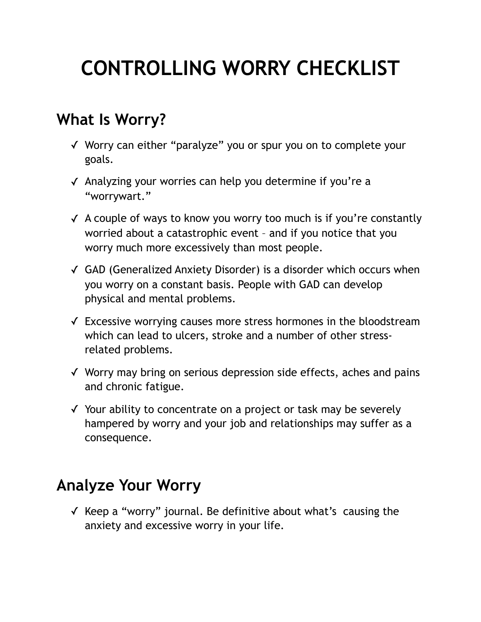# **CONTROLLING WORRY CHECKLIST**

### **What Is Worry?**

- ✓ Worry can either "paralyze" you or spur you on to complete your goals.
- ✓ Analyzing your worries can help you determine if you're a "worrywart."
- ✓ A couple of ways to know you worry too much is if you're constantly worried about a catastrophic event – and if you notice that you worry much more excessively than most people.
- ✓ GAD (Generalized Anxiety Disorder) is a disorder which occurs when you worry on a constant basis. People with GAD can develop physical and mental problems.
- ✓ Excessive worrying causes more stress hormones in the bloodstream which can lead to ulcers, stroke and a number of other stressrelated problems.
- ✓ Worry may bring on serious depression side effects, aches and pains and chronic fatigue.
- ✓ Your ability to concentrate on a project or task may be severely hampered by worry and your job and relationships may suffer as a consequence.

### **Analyze Your Worry**

✓ Keep a "worry" journal. Be definitive about what's causing the anxiety and excessive worry in your life.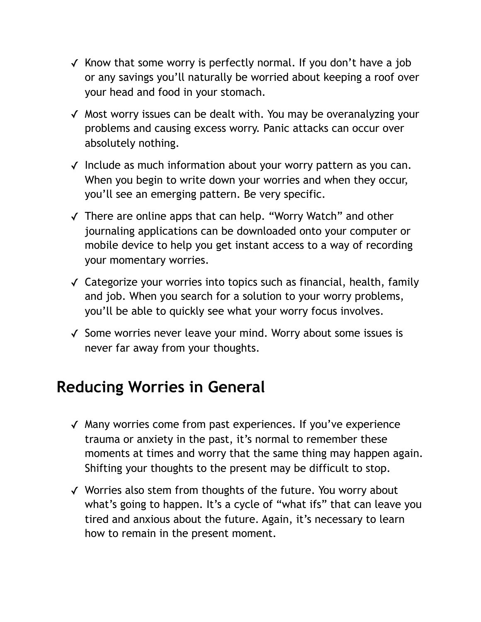- $\checkmark$  Know that some worry is perfectly normal. If you don't have a job or any savings you'll naturally be worried about keeping a roof over your head and food in your stomach.
- ✓ Most worry issues can be dealt with. You may be overanalyzing your problems and causing excess worry. Panic attacks can occur over absolutely nothing.
- ✓ Include as much information about your worry pattern as you can. When you begin to write down your worries and when they occur, you'll see an emerging pattern. Be very specific.
- ✓ There are online apps that can help. "Worry Watch" and other journaling applications can be downloaded onto your computer or mobile device to help you get instant access to a way of recording your momentary worries.
- ✓ Categorize your worries into topics such as financial, health, family and job. When you search for a solution to your worry problems, you'll be able to quickly see what your worry focus involves.
- ✓ Some worries never leave your mind. Worry about some issues is never far away from your thoughts.

### **Reducing Worries in General**

- ✓ Many worries come from past experiences. If you've experience trauma or anxiety in the past, it's normal to remember these moments at times and worry that the same thing may happen again. Shifting your thoughts to the present may be difficult to stop.
- ✓ Worries also stem from thoughts of the future. You worry about what's going to happen. It's a cycle of "what ifs" that can leave you tired and anxious about the future. Again, it's necessary to learn how to remain in the present moment.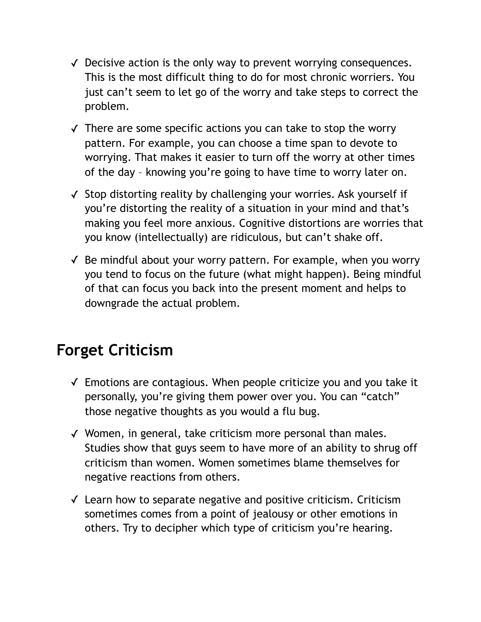- ✓ Decisive action is the only way to prevent worrying consequences. This is the most difficult thing to do for most chronic worriers. You just can't seem to let go of the worry and take steps to correct the problem.
- ✓ There are some specific actions you can take to stop the worry pattern. For example, you can choose a time span to devote to worrying. That makes it easier to turn off the worry at other times of the day – knowing you're going to have time to worry later on.
- ✓ Stop distorting reality by challenging your worries. Ask yourself if you're distorting the reality of a situation in your mind and that's making you feel more anxious. Cognitive distortions are worries that you know (intellectually) are ridiculous, but can't shake off.
- $\checkmark$  Be mindful about your worry pattern. For example, when you worry you tend to focus on the future (what might happen). Being mindful of that can focus you back into the present moment and helps to downgrade the actual problem.

## **Forget Criticism**

- ✓ Emotions are contagious. When people criticize you and you take it personally, you're giving them power over you. You can "catch" those negative thoughts as you would a flu bug.
- ✓ Women, in general, take criticism more personal than males. Studies show that guys seem to have more of an ability to shrug off criticism than women. Women sometimes blame themselves for negative reactions from others.
- ✓ Learn how to separate negative and positive criticism. Criticism sometimes comes from a point of jealousy or other emotions in others. Try to decipher which type of criticism you're hearing.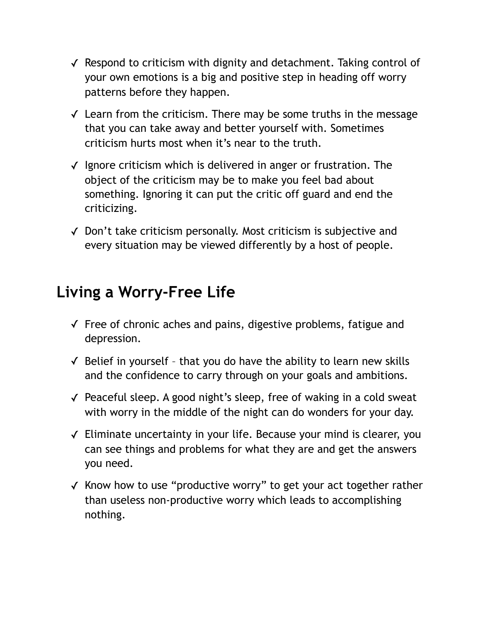- ✓ Respond to criticism with dignity and detachment. Taking control of your own emotions is a big and positive step in heading off worry patterns before they happen.
- ✓ Learn from the criticism. There may be some truths in the message that you can take away and better yourself with. Sometimes criticism hurts most when it's near to the truth.
- ✓ Ignore criticism which is delivered in anger or frustration. The object of the criticism may be to make you feel bad about something. Ignoring it can put the critic off guard and end the criticizing.
- ✓ Don't take criticism personally. Most criticism is subjective and every situation may be viewed differently by a host of people.

### **Living a Worry-Free Life**

- ✓ Free of chronic aches and pains, digestive problems, fatigue and depression.
- $\checkmark$  Belief in yourself that you do have the ability to learn new skills and the confidence to carry through on your goals and ambitions.
- ✓ Peaceful sleep. A good night's sleep, free of waking in a cold sweat with worry in the middle of the night can do wonders for your day.
- ✓ Eliminate uncertainty in your life. Because your mind is clearer, you can see things and problems for what they are and get the answers you need.
- ✓ Know how to use "productive worry" to get your act together rather than useless non-productive worry which leads to accomplishing nothing.